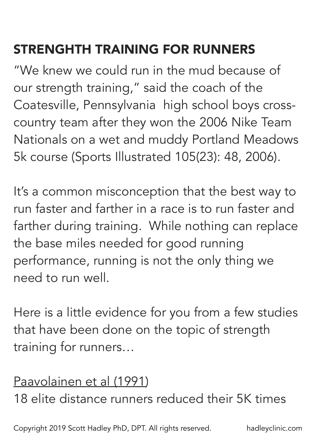# STRENGHTH TRAINING FOR RUNNERS

"We knew we could run in the mud because of our strength training," said the coach of the Coatesville, Pennsylvania high school boys crosscountry team after they won the 2006 Nike Team Nationals on a wet and muddy Portland Meadows 5k course (Sports Illustrated 105(23): 48, 2006).

It's a common misconception that the best way to run faster and farther in a race is to run faster and farther during training. While nothing can replace the base miles needed for good running performance, running is not the only thing we need to run well.

Here is a little evidence for you from a few studies that have been done on the topic of strength training for runners…

## Paavolainen et al (1991)

18 elite distance runners reduced their 5K times

Copyright 2019 Scott Hadley PhD, DPT. All rights reserved. hadleyclinic.com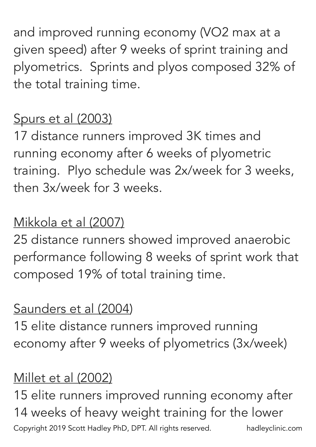and improved running economy (VO2 max at a given speed) after 9 weeks of sprint training and plyometrics. Sprints and plyos composed 32% of the total training time.

### Spurs et al (2003)

17 distance runners improved 3K times and running economy after 6 weeks of plyometric training. Plyo schedule was 2x/week for 3 weeks, then 3x/week for 3 weeks.

### Mikkola et al (2007)

25 distance runners showed improved anaerobic performance following 8 weeks of sprint work that composed 19% of total training time.

#### Saunders et al (2004)

15 elite distance runners improved running economy after 9 weeks of plyometrics (3x/week)

#### Millet et al (2002)

15 elite runners improved running economy after 14 weeks of heavy weight training for the lower Copyright 2019 Scott Hadley PhD, DPT. All rights reserved. hadleyclinic.com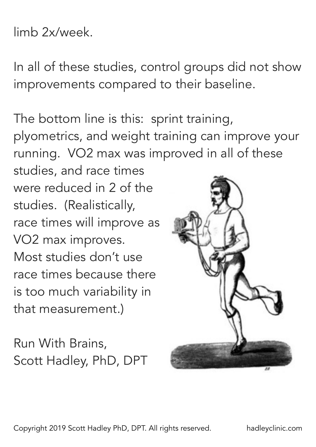#### limb 2x/week.

In all of these studies, control groups did not show improvements compared to their baseline.

The bottom line is this: sprint training, plyometrics, and weight training can improve your running. VO2 max was improved in all of these

studies, and race times were reduced in 2 of the studies. (Realistically, race times will improve as VO2 max improves. Most studies don't use race times because there is too much variability in that measurement.)

Run With Brains, Scott Hadley, PhD, DPT



Copyright 2019 Scott Hadley PhD, DPT. All rights reserved. hadleyclinic.com